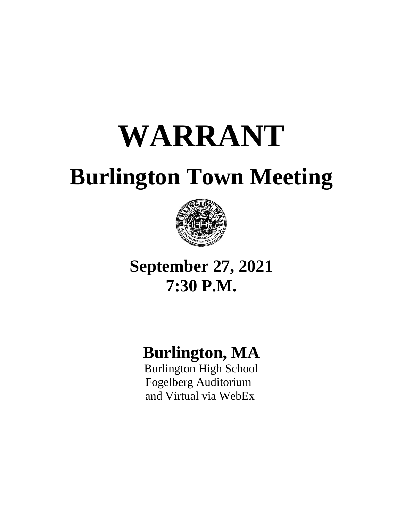# **WARRANT**

## **Burlington Town Meeting**



## **September 27, 2021 7:30 P.M.**

## **Burlington, MA**

 Burlington High School Fogelberg Auditorium and Virtual via WebEx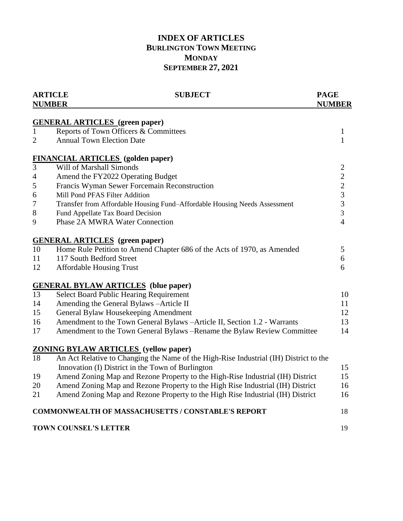### **INDEX OF ARTICLES BURLINGTON TOWN MEETING MONDAY SEPTEMBER 27, 2021**

| <b>ARTICLE</b><br><b>SUBJECT</b><br><b>NUMBER</b> |                                                                                                                                            | <b>PAGE</b><br><b>NUMBER</b> |
|---------------------------------------------------|--------------------------------------------------------------------------------------------------------------------------------------------|------------------------------|
|                                                   |                                                                                                                                            |                              |
| $\mathbf{1}$                                      | <b>GENERAL ARTICLES</b> (green paper)                                                                                                      |                              |
|                                                   | Reports of Town Officers & Committees<br><b>Annual Town Election Date</b>                                                                  | $\mathbf{1}$<br>$\mathbf{1}$ |
| 2                                                 |                                                                                                                                            |                              |
|                                                   | <b>FINANCIAL ARTICLES</b> (golden paper)                                                                                                   |                              |
| $\overline{3}$                                    | Will of Marshall Simonds                                                                                                                   | $\mathbf{2}$                 |
| $\overline{\mathcal{A}}$                          | Amend the FY2022 Operating Budget                                                                                                          | $\overline{c}$               |
| 5                                                 | Francis Wyman Sewer Forcemain Reconstruction                                                                                               | $\overline{c}$               |
| 6                                                 | Mill Pond PFAS Filter Addition                                                                                                             | $\overline{\mathbf{3}}$      |
| 7                                                 | Transfer from Affordable Housing Fund-Affordable Housing Needs Assessment                                                                  | 3                            |
| 8                                                 | Fund Appellate Tax Board Decision                                                                                                          | 3                            |
| 9                                                 | Phase 2A MWRA Water Connection                                                                                                             | $\overline{4}$               |
|                                                   | <b>GENERAL ARTICLES</b> (green paper)                                                                                                      |                              |
| 10                                                | Home Rule Petition to Amend Chapter 686 of the Acts of 1970, as Amended                                                                    | 5                            |
| 11                                                | 117 South Bedford Street                                                                                                                   | 6                            |
| 12                                                | <b>Affordable Housing Trust</b>                                                                                                            | 6                            |
|                                                   | <b>GENERAL BYLAW ARTICLES</b> (blue paper)                                                                                                 |                              |
| 13                                                | <b>Select Board Public Hearing Requirement</b>                                                                                             | 10                           |
| 14                                                | Amending the General Bylaws - Article II                                                                                                   | 11                           |
| 15                                                | General Bylaw Housekeeping Amendment                                                                                                       | 12                           |
| 16                                                | Amendment to the Town General Bylaws -Article II, Section 1.2 - Warrants                                                                   | 13                           |
| 17                                                | Amendment to the Town General Bylaws - Rename the Bylaw Review Committee                                                                   | 14                           |
|                                                   | <b>ZONING BYLAW ARTICLES</b> (yellow paper)                                                                                                |                              |
| 18                                                | An Act Relative to Changing the Name of the High-Rise Industrial (IH) District to the<br>Innovation (I) District in the Town of Burlington | 15                           |
| 19                                                | Amend Zoning Map and Rezone Property to the High-Rise Industrial (IH) District                                                             | 15                           |
| 20                                                | Amend Zoning Map and Rezone Property to the High Rise Industrial (IH) District                                                             | 16                           |
| 21                                                | Amend Zoning Map and Rezone Property to the High Rise Industrial (IH) District                                                             | 16                           |
|                                                   |                                                                                                                                            |                              |
|                                                   | <b>COMMONWEALTH OF MASSACHUSETTS / CONSTABLE'S REPORT</b>                                                                                  | 18                           |
|                                                   | <b>TOWN COUNSEL'S LETTER</b>                                                                                                               | 19                           |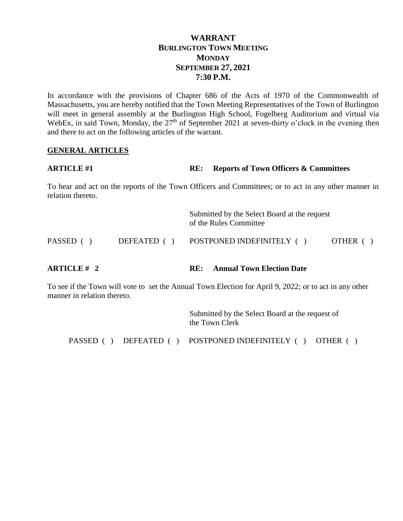### **WARRANT BURLINGTON TOWN MEETING MONDAY SEPTEMBER 27, 2021 7:30 P.M.**

In accordance with the provisions of Chapter 686 of the Acts of 1970 of the Commonwealth of Massachusetts, you are hereby notified that the Town Meeting Representatives of the Town of Burlington will meet in general assembly at the Burlington High School, Fogelberg Auditorium and virtual via WebEx, in said Town, Monday, the 27<sup>th</sup> of September 2021 at seven-thirty o'clock in the evening then and there to act on the following articles of the warrant.

#### **GENERAL ARTICLES**

| <b>ARTICLE #1</b> | <b>RE:</b> Reports of Town Officers & Committees |
|-------------------|--------------------------------------------------|
|-------------------|--------------------------------------------------|

To hear and act on the reports of the Town Officers and Committees; or to act in any other manner in relation thereto.

| <b>ARTICLE</b> # 2 | <b>Annual Town Election Date</b><br>RE:                                |          |
|--------------------|------------------------------------------------------------------------|----------|
| PASSED ()          | DEFEATED () POSTPONED INDEFINITELY ()                                  | OTHER () |
|                    | Submitted by the Select Board at the request<br>of the Rules Committee |          |

To see if the Town will vote to set the Annual Town Election for April 9, 2022; or to act in any other manner in relation thereto.

> Submitted by the Select Board at the request of the Town Clerk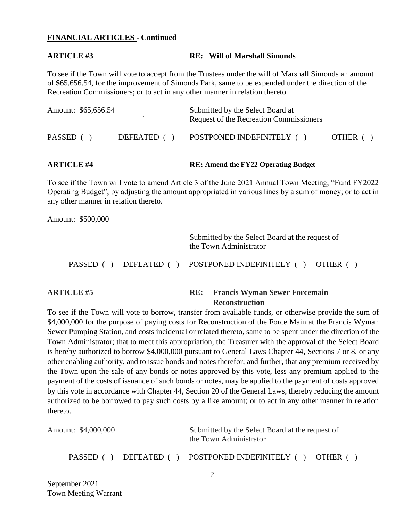#### **FINANCIAL ARTICLES - Continued**

#### **ARTICLE #3 RE: Will of Marshall Simonds**

To see if the Town will vote to accept from the Trustees under the will of Marshall Simonds an amount of **\$**65,656.54, for the improvement of Simonds Park, same to be expended under the direction of the Recreation Commissioners; or to act in any other manner in relation thereto.

| <b>ARTICLE #4</b> |                     |             | <b>RE: Amend the FY22 Operating Budget</b>                                  |          |
|-------------------|---------------------|-------------|-----------------------------------------------------------------------------|----------|
| PASSED ()         |                     | DEFEATED () | POSTPONED INDEFINITELY ()                                                   | OTHER () |
|                   | Amount: \$65,656.54 |             | Submitted by the Select Board at<br>Request of the Recreation Commissioners |          |

### To see if the Town will vote to amend Article 3 of the June 2021 Annual Town Meeting, "Fund FY2022 Operating Budget", by adjusting the amount appropriated in various lines by a sum of money; or to act in any other manner in relation thereto.

Amount: \$500,000

Submitted by the Select Board at the request of the Town Administrator

PASSED ( ) DEFEATED ( ) POSTPONED INDEFINITELY ( ) OTHER ( )

#### **ARTICLE #5 RE: Francis Wyman Sewer Forcemain Reconstruction**

To see if the Town will vote to borrow, transfer from available funds, or otherwise provide the sum of \$4,000,000 for the purpose of paying costs for Reconstruction of the Force Main at the Francis Wyman Sewer Pumping Station, and costs incidental or related thereto, same to be spent under the direction of the Town Administrator; that to meet this appropriation, the Treasurer with the approval of the Select Board is hereby authorized to borrow \$4,000,000 pursuant to General Laws Chapter 44, Sections 7 or 8, or any other enabling authority, and to issue bonds and notes therefor; and further, that any premium received by the Town upon the sale of any bonds or notes approved by this vote, less any premium applied to the payment of the costs of issuance of such bonds or notes, may be applied to the payment of costs approved by this vote in accordance with Chapter 44, Section 20 of the General Laws, thereby reducing the amount authorized to be borrowed to pay such costs by a like amount; or to act in any other manner in relation thereto.

| Amount: \$4,000,000 |  | Submitted by the Select Board at the request of<br>the Town Administrator |  |
|---------------------|--|---------------------------------------------------------------------------|--|
|                     |  | PASSED () DEFEATED () POSTPONED INDEFINITELY () OTHER ()                  |  |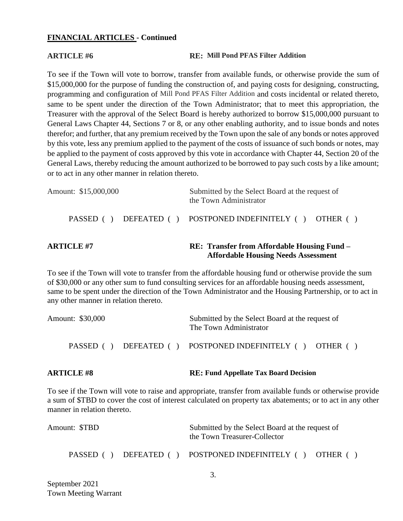#### **FINANCIAL ARTICLES - Continued**

#### **ARTICLE #6 RE: Mill Pond PFAS Filter Addition**

 **Affordable Housing Needs Assessment**

To see if the Town will vote to borrow, transfer from available funds, or otherwise provide the sum of \$15,000,000 for the purpose of funding the construction of, and paying costs for designing, constructing, programming and configuration of Mill Pond PFAS Filter Addition and costs incidental or related thereto, same to be spent under the direction of the Town Administrator; that to meet this appropriation, the Treasurer with the approval of the Select Board is hereby authorized to borrow \$15,000,000 pursuant to General Laws Chapter 44, Sections 7 or 8, or any other enabling authority, and to issue bonds and notes therefor; and further, that any premium received by the Town upon the sale of any bonds or notes approved by this vote, less any premium applied to the payment of the costs of issuance of such bonds or notes, may be applied to the payment of costs approved by this vote in accordance with Chapter 44, Section 20 of the General Laws, thereby reducing the amount authorized to be borrowed to pay such costs by a like amount; or to act in any other manner in relation thereto.

| <b>ARTICLE #7</b>    | <b>RE: Transfer from Affordable Housing Fund –</b>                        |  |
|----------------------|---------------------------------------------------------------------------|--|
|                      | PASSED () DEFEATED () POSTPONED INDEFINITELY () OTHER ()                  |  |
| Amount: \$15,000,000 | Submitted by the Select Board at the request of<br>the Town Administrator |  |

To see if the Town will vote to transfer from the affordable housing fund or otherwise provide the sum of \$30,000 or any other sum to fund consulting services for an affordable housing needs assessment, same to be spent under the direction of the Town Administrator and the Housing Partnership, or to act in any other manner in relation thereto.

| Amount: \$30,000 |                       | Submitted by the Select Board at the request of<br>The Town Administrator |  |
|------------------|-----------------------|---------------------------------------------------------------------------|--|
|                  | PASSED () DEFEATED () | POSTPONED INDEFINITELY () OTHER ()                                        |  |

#### **ARTICLE #8 RE: Fund Appellate Tax Board Decision**

To see if the Town will vote to raise and appropriate, transfer from available funds or otherwise provide a sum of \$TBD to cover the cost of interest calculated on property tax abatements; or to act in any other manner in relation thereto.

| Amount: \$TBD | Submitted by the Select Board at the request of<br>the Town Treasurer-Collector |  |
|---------------|---------------------------------------------------------------------------------|--|
|               | PASSED () DEFEATED () POSTPONED INDEFINITELY () OTHER ()                        |  |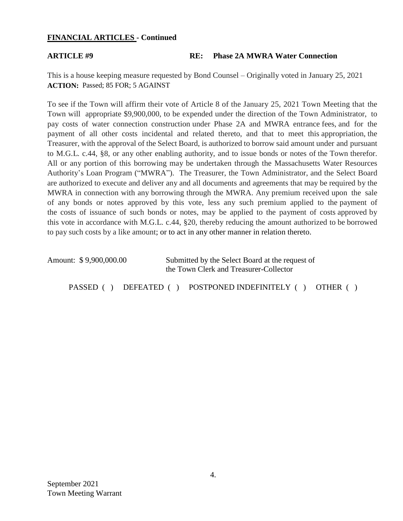#### **FINANCIAL ARTICLES - Continued**

#### **ARTICLE #9 RE: Phase 2A MWRA Water Connection**

This is a house keeping measure requested by Bond Counsel – Originally voted in January 25, 2021 **ACTION:** Passed; 85 FOR; 5 AGAINST

To see if the Town will affirm their vote of Article 8 of the January 25, 2021 Town Meeting that the Town will appropriate \$9,900,000, to be expended under the direction of the Town Administrator, to pay costs of water connection construction under Phase 2A and MWRA entrance fees, and for the payment of all other costs incidental and related thereto, and that to meet this appropriation, the Treasurer, with the approval of the Select Board, is authorized to borrow said amount under and pursuant to M.G.L. c.44, §8, or any other enabling authority, and to issue bonds or notes of the Town therefor. All or any portion of this borrowing may be undertaken through the Massachusetts Water Resources Authority's Loan Program ("MWRA"). The Treasurer, the Town Administrator, and the Select Board are authorized to execute and deliver any and all documents and agreements that may be required by the MWRA in connection with any borrowing through the MWRA. Any premium received upon the sale of any bonds or notes approved by this vote, less any such premium applied to the payment of the costs of issuance of such bonds or notes, may be applied to the payment of costs approved by this vote in accordance with M.G.L. c.44, §20, thereby reducing the amount authorized to be borrowed to pay such costs by a like amount; or to act in any other manner in relation thereto.

| Amount: \$9,900,000.00  | Submitted by the Select Board at the request of<br>the Town Clerk and Treasurer-Collector |  |  |  |
|-------------------------|-------------------------------------------------------------------------------------------|--|--|--|
| PASSED ()<br>DEFEATED ( | POSTPONED INDEFINITELY ()<br><b>OTHER</b>                                                 |  |  |  |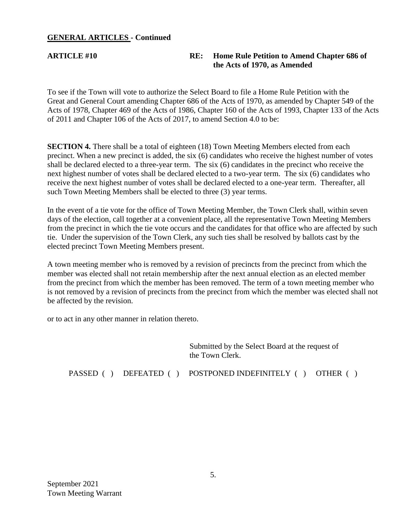### **GENERAL ARTICLES - Continued**

### **ARTICLE #10 RE: Home Rule Petition to Amend Chapter 686 of the Acts of 1970, as Amended**

To see if the Town will vote to authorize the Select Board to file a Home Rule Petition with the Great and General Court amending Chapter 686 of the Acts of 1970, as amended by Chapter 549 of the Acts of 1978, Chapter 469 of the Acts of 1986, Chapter 160 of the Acts of 1993, Chapter 133 of the Acts of 2011 and Chapter 106 of the Acts of 2017, to amend Section 4.0 to be:

**SECTION 4.** There shall be a total of eighteen (18) Town Meeting Members elected from each precinct. When a new precinct is added, the six (6) candidates who receive the highest number of votes shall be declared elected to a three-year term. The six (6) candidates in the precinct who receive the next highest number of votes shall be declared elected to a two-year term. The six (6) candidates who receive the next highest number of votes shall be declared elected to a one-year term. Thereafter, all such Town Meeting Members shall be elected to three (3) year terms.

In the event of a tie vote for the office of Town Meeting Member, the Town Clerk shall, within seven days of the election, call together at a convenient place, all the representative Town Meeting Members from the precinct in which the tie vote occurs and the candidates for that office who are affected by such tie. Under the supervision of the Town Clerk, any such ties shall be resolved by ballots cast by the elected precinct Town Meeting Members present.

A town meeting member who is removed by a revision of precincts from the precinct from which the member was elected shall not retain membership after the next annual election as an elected member from the precinct from which the member has been removed. The term of a town meeting member who is not removed by a revision of precincts from the precinct from which the member was elected shall not be affected by the revision.

or to act in any other manner in relation thereto.

Submitted by the Select Board at the request of the Town Clerk.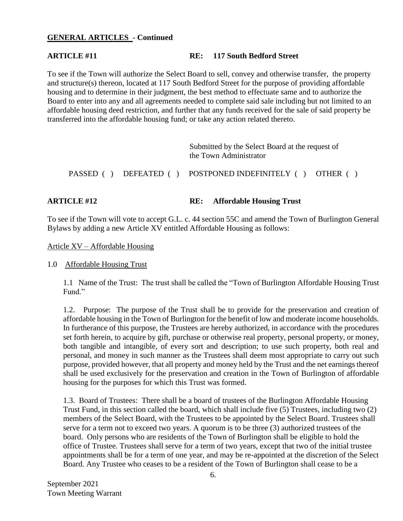### **GENERAL ARTICLES - Continued**

#### **ARTICLE #11 RE: 117 South Bedford Street**

To see if the Town will authorize the Select Board to sell, convey and otherwise transfer, the property and structure(s) thereon, located at 117 South Bedford Street for the purpose of providing affordable housing and to determine in their judgment, the best method to effectuate same and to authorize the Board to enter into any and all agreements needed to complete said sale including but not limited to an affordable housing deed restriction, and further that any funds received for the sale of said property be transferred into the affordable housing fund; or take any action related thereto.

|  | Submitted by the Select Board at the request of<br>the Town Administrator |  |
|--|---------------------------------------------------------------------------|--|
|  | PASSED () DEFEATED () POSTPONED INDEFINITELY () OTHER ()                  |  |

#### **ARTICLE #12 RE: Affordable Housing Trust**

To see if the Town will vote to accept G.L. c. 44 section 55C and amend the Town of Burlington General Bylaws by adding a new Article XV entitled Affordable Housing as follows:

Article XV – Affordable Housing

1.0 Affordable Housing Trust

1.1 Name of the Trust: The trust shall be called the "Town of Burlington Affordable Housing Trust Fund."

1.2. Purpose: The purpose of the Trust shall be to provide for the preservation and creation of affordable housing in the Town of Burlington for the benefit of low and moderate income households. In furtherance of this purpose, the Trustees are hereby authorized, in accordance with the procedures set forth herein, to acquire by gift, purchase or otherwise real property, personal property, or money, both tangible and intangible, of every sort and description; to use such property, both real and personal, and money in such manner as the Trustees shall deem most appropriate to carry out such purpose, provided however, that all property and money held by the Trust and the net earnings thereof shall be used exclusively for the preservation and creation in the Town of Burlington of affordable housing for the purposes for which this Trust was formed.

1.3. Board of Trustees: There shall be a board of trustees of the Burlington Affordable Housing Trust Fund, in this section called the board, which shall include five (5) Trustees, including two (2) members of the Select Board, with the Trustees to be appointed by the Select Board. Trustees shall serve for a term not to exceed two years. A quorum is to be three (3) authorized trustees of the board. Only persons who are residents of the Town of Burlington shall be eligible to hold the office of Trustee. Trustees shall serve for a term of two years, except that two of the initial trustee appointments shall be for a term of one year, and may be re-appointed at the discretion of the Select Board. Any Trustee who ceases to be a resident of the Town of Burlington shall cease to be a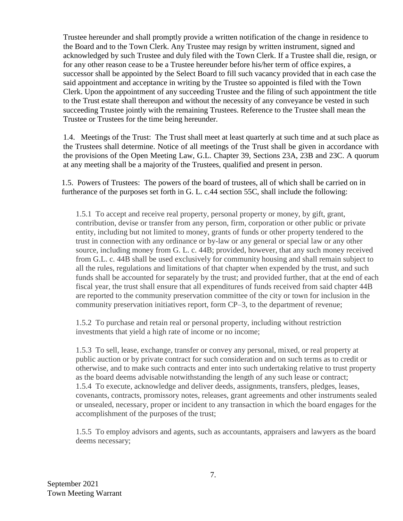Trustee hereunder and shall promptly provide a written notification of the change in residence to the Board and to the Town Clerk. Any Trustee may resign by written instrument, signed and acknowledged by such Trustee and duly filed with the Town Clerk. If a Trustee shall die, resign, or for any other reason cease to be a Trustee hereunder before his/her term of office expires, a successor shall be appointed by the Select Board to fill such vacancy provided that in each case the said appointment and acceptance in writing by the Trustee so appointed is filed with the Town Clerk. Upon the appointment of any succeeding Trustee and the filing of such appointment the title to the Trust estate shall thereupon and without the necessity of any conveyance be vested in such succeeding Trustee jointly with the remaining Trustees. Reference to the Trustee shall mean the Trustee or Trustees for the time being hereunder.

1.4. Meetings of the Trust: The Trust shall meet at least quarterly at such time and at such place as the Trustees shall determine. Notice of all meetings of the Trust shall be given in accordance with the provisions of the Open Meeting Law, G.L. Chapter 39, Sections 23A, 23B and 23C. A quorum at any meeting shall be a majority of the Trustees, qualified and present in person.

1.5. Powers of Trustees: The powers of the board of trustees, all of which shall be carried on in furtherance of the purposes set forth in G. L. c.44 section 55C, shall include the following:

1.5.1 To accept and receive real property, personal property or money, by gift, grant, contribution, devise or transfer from any person, firm, corporation or other public or private entity, including but not limited to money, grants of funds or other property tendered to the trust in connection with any ordinance or by-law or any general or special law or any other source, including money from G. L. c. 44B; provided, however, that any such money received from G.L. c. 44B shall be used exclusively for community housing and shall remain subject to all the rules, regulations and limitations of that chapter when expended by the trust, and such funds shall be accounted for separately by the trust; and provided further, that at the end of each fiscal year, the trust shall ensure that all expenditures of funds received from said chapter 44B are reported to the community preservation committee of the city or town for inclusion in the community preservation initiatives report, form CP–3, to the department of revenue;

1.5.2 To purchase and retain real or personal property, including without restriction investments that yield a high rate of income or no income;

1.5.3 To sell, lease, exchange, transfer or convey any personal, mixed, or real property at public auction or by private contract for such consideration and on such terms as to credit or otherwise, and to make such contracts and enter into such undertaking relative to trust property as the board deems advisable notwithstanding the length of any such lease or contract; 1.5.4 To execute, acknowledge and deliver deeds, assignments, transfers, pledges, leases, covenants, contracts, promissory notes, releases, grant agreements and other instruments sealed or unsealed, necessary, proper or incident to any transaction in which the board engages for the accomplishment of the purposes of the trust;

1.5.5 To employ advisors and agents, such as accountants, appraisers and lawyers as the board deems necessary;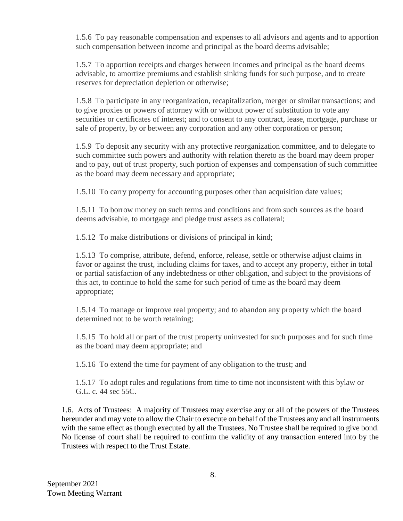1.5.6 To pay reasonable compensation and expenses to all advisors and agents and to apportion such compensation between income and principal as the board deems advisable;

1.5.7 To apportion receipts and charges between incomes and principal as the board deems advisable, to amortize premiums and establish sinking funds for such purpose, and to create reserves for depreciation depletion or otherwise;

1.5.8 To participate in any reorganization, recapitalization, merger or similar transactions; and to give proxies or powers of attorney with or without power of substitution to vote any securities or certificates of interest; and to consent to any contract, lease, mortgage, purchase or sale of property, by or between any corporation and any other corporation or person;

1.5.9 To deposit any security with any protective reorganization committee, and to delegate to such committee such powers and authority with relation thereto as the board may deem proper and to pay, out of trust property, such portion of expenses and compensation of such committee as the board may deem necessary and appropriate;

1.5.10 To carry property for accounting purposes other than acquisition date values;

1.5.11 To borrow money on such terms and conditions and from such sources as the board deems advisable, to mortgage and pledge trust assets as collateral;

1.5.12 To make distributions or divisions of principal in kind;

1.5.13 To comprise, attribute, defend, enforce, release, settle or otherwise adjust claims in favor or against the trust, including claims for taxes, and to accept any property, either in total or partial satisfaction of any indebtedness or other obligation, and subject to the provisions of this act, to continue to hold the same for such period of time as the board may deem appropriate;

1.5.14 To manage or improve real property; and to abandon any property which the board determined not to be worth retaining;

1.5.15 To hold all or part of the trust property uninvested for such purposes and for such time as the board may deem appropriate; and

1.5.16 To extend the time for payment of any obligation to the trust; and

1.5.17 To adopt rules and regulations from time to time not inconsistent with this bylaw or G.L. c. 44 sec 55C.

1.6. Acts of Trustees: A majority of Trustees may exercise any or all of the powers of the Trustees hereunder and may vote to allow the Chair to execute on behalf of the Trustees any and all instruments with the same effect as though executed by all the Trustees. No Trustee shall be required to give bond. No license of court shall be required to confirm the validity of any transaction entered into by the Trustees with respect to the Trust Estate.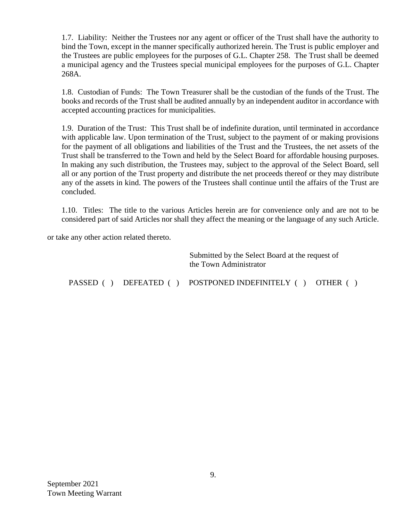1.7. Liability: Neither the Trustees nor any agent or officer of the Trust shall have the authority to bind the Town, except in the manner specifically authorized herein. The Trust is public employer and the Trustees are public employees for the purposes of G.L. Chapter 258. The Trust shall be deemed a municipal agency and the Trustees special municipal employees for the purposes of G.L. Chapter 268A.

1.8. Custodian of Funds: The Town Treasurer shall be the custodian of the funds of the Trust. The books and records of the Trust shall be audited annually by an independent auditor in accordance with accepted accounting practices for municipalities.

1.9. Duration of the Trust: This Trust shall be of indefinite duration, until terminated in accordance with applicable law. Upon termination of the Trust, subject to the payment of or making provisions for the payment of all obligations and liabilities of the Trust and the Trustees, the net assets of the Trust shall be transferred to the Town and held by the Select Board for affordable housing purposes. In making any such distribution, the Trustees may, subject to the approval of the Select Board, sell all or any portion of the Trust property and distribute the net proceeds thereof or they may distribute any of the assets in kind. The powers of the Trustees shall continue until the affairs of the Trust are concluded.

1.10. Titles: The title to the various Articles herein are for convenience only and are not to be considered part of said Articles nor shall they affect the meaning or the language of any such Article.

or take any other action related thereto.

Submitted by the Select Board at the request of the Town Administrator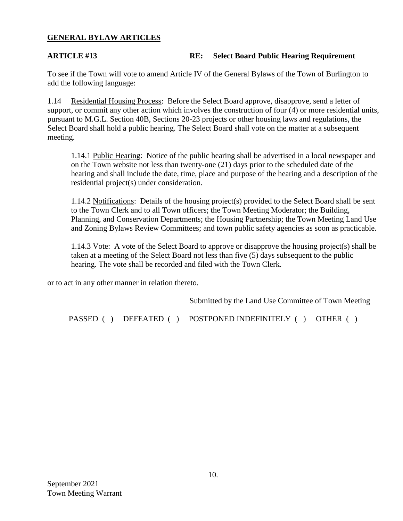### **GENERAL BYLAW ARTICLES**

#### **ARTICLE #13 RE: Select Board Public Hearing Requirement**

To see if the Town will vote to amend Article IV of the General Bylaws of the Town of Burlington to add the following language:

1.14 Residential Housing Process: Before the Select Board approve, disapprove, send a letter of support, or commit any other action which involves the construction of four (4) or more residential units, pursuant to M.G.L. Section 40B, Sections 20-23 projects or other housing laws and regulations, the Select Board shall hold a public hearing. The Select Board shall vote on the matter at a subsequent meeting.

1.14.1 Public Hearing: Notice of the public hearing shall be advertised in a local newspaper and on the Town website not less than twenty-one (21) days prior to the scheduled date of the hearing and shall include the date, time, place and purpose of the hearing and a description of the residential project(s) under consideration.

1.14.2 Notifications: Details of the housing project(s) provided to the Select Board shall be sent to the Town Clerk and to all Town officers; the Town Meeting Moderator; the Building, Planning, and Conservation Departments; the Housing Partnership; the Town Meeting Land Use and Zoning Bylaws Review Committees; and town public safety agencies as soon as practicable.

1.14.3 Vote: A vote of the Select Board to approve or disapprove the housing project(s) shall be taken at a meeting of the Select Board not less than five (5) days subsequent to the public hearing. The vote shall be recorded and filed with the Town Clerk.

or to act in any other manner in relation thereto.

Submitted by the Land Use Committee of Town Meeting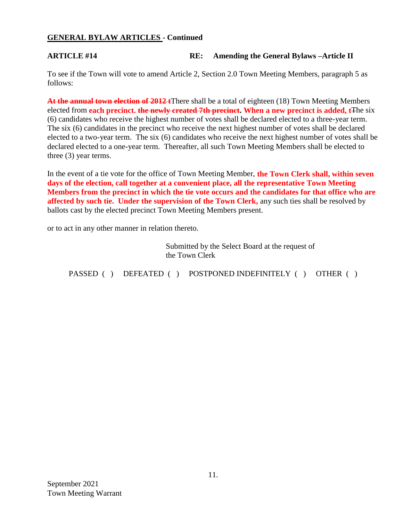### **GENERAL BYLAW ARTICLES - Continued**

### **ARTICLE #14 RE: Amending the General Bylaws –Article II**

To see if the Town will vote to amend Article 2, Section 2.0 Town Meeting Members, paragraph 5 as follows:

**At the annual town election of 2012 t**There shall be a total of eighteen (18) Town Meeting Members elected from **each precinct. the newly created 7th precinct. When a new precinct is added, t**he six (6) candidates who receive the highest number of votes shall be declared elected to a three-year term. The six (6) candidates in the precinct who receive the next highest number of votes shall be declared elected to a two-year term. The six (6) candidates who receive the next highest number of votes shall be declared elected to a one-year term. Thereafter, all such Town Meeting Members shall be elected to three (3) year terms.

In the event of a tie vote for the office of Town Meeting Member, **the Town Clerk shall, within seven days of the election, call together at a convenient place, all the representative Town Meeting Members from the precinct in which the tie vote occurs and the candidates for that office who are affected by such tie. Under the supervision of the Town Clerk,** any such ties shall be resolved by ballots cast by the elected precinct Town Meeting Members present.

or to act in any other manner in relation thereto.

Submitted by the Select Board at the request of the Town Clerk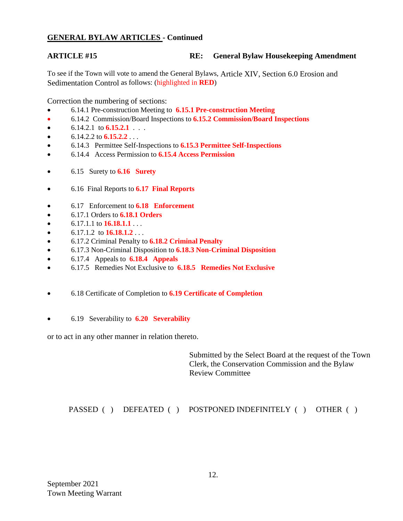### **GENERAL BYLAW ARTICLES - Continued**

### **ARTICLE #15 RE: General Bylaw Housekeeping Amendment**

To see if the Town will vote to amend the General Bylaws, Article XIV, Section 6.0 Erosion and Sedimentation Control as follows: (highlighted in **RED**)

Correction the numbering of sections:

- 6.14.1 Pre-construction Meeting to **6.15.1 Pre-construction Meeting**
- 6.14.2 Commission/Board Inspections to **6.15.2 Commission/Board Inspections**
- $\bullet$  6.14.2.1 to **6.15.2.1** . . .
- $\bullet$  6.14.2.2 to **6.15.2.2** . . .
- 6.14.3 Permittee Self-Inspections to **6.15.3 Permittee Self-Inspections**
- 6.14.4 Access Permission to **6.15.4 Access Permission**
- 6.15 Surety to **6.16 Surety**
- 6.16 Final Reports to **6.17 Final Reports**
- 6.17 Enforcement to **6.18 Enforcement**
- 6.17.1 Orders to **6.18.1 Orders**
- $\bullet$  6.17.1.1 to **16.18.1.1** . . .
- $\bullet$  6.17.1.2 to **16.18.1.2** . . .
- 6.17.2 Criminal Penalty to **6.18.2 Criminal Penalty**
- 6.17.3 Non-Criminal Disposition to **6.18.3 Non-Criminal Disposition**
- 6.17.4 Appeals to **6.18.4 Appeals**
- 6.17.5 Remedies Not Exclusive to **6.18.5 Remedies Not Exclusive**
- 6.18 Certificate of Completion to **6.19 Certificate of Completion**
- 6.19 Severability to **6.20 Severability**

or to act in any other manner in relation thereto.

Submitted by the Select Board at the request of the Town Clerk, the Conservation Commission and the Bylaw Review Committee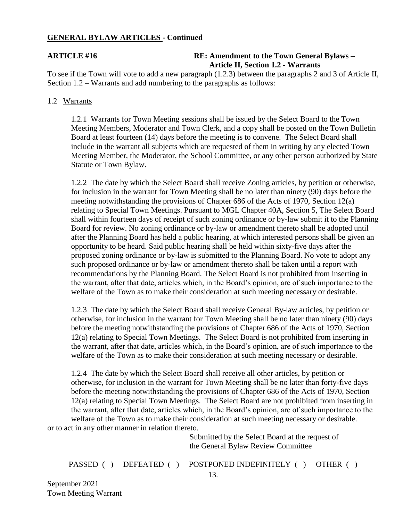#### **GENERAL BYLAW ARTICLES - Continued**

#### **ARTICLE #16 RE: Amendment to the Town General Bylaws – Article II, Section 1.2 - Warrants**

To see if the Town will vote to add a new paragraph (1.2.3) between the paragraphs 2 and 3 of Article II, Section 1.2 – Warrants and add numbering to the paragraphs as follows:

#### 1.2 Warrants

1.2.1 Warrants for Town Meeting sessions shall be issued by the Select Board to the Town Meeting Members, Moderator and Town Clerk, and a copy shall be posted on the Town Bulletin Board at least fourteen (14) days before the meeting is to convene. The Select Board shall include in the warrant all subjects which are requested of them in writing by any elected Town Meeting Member, the Moderator, the School Committee, or any other person authorized by State Statute or Town Bylaw.

1.2.2 The date by which the Select Board shall receive Zoning articles, by petition or otherwise, for inclusion in the warrant for Town Meeting shall be no later than ninety (90) days before the meeting notwithstanding the provisions of Chapter 686 of the Acts of 1970, Section 12(a) relating to Special Town Meetings. Pursuant to MGL Chapter 40A, Section 5, The Select Board shall within fourteen days of receipt of such zoning ordinance or by-law submit it to the Planning Board for review. No zoning ordinance or by-law or amendment thereto shall be adopted until after the Planning Board has held a public hearing, at which interested persons shall be given an opportunity to be heard. Said public hearing shall be held within sixty-five days after the proposed zoning ordinance or by-law is submitted to the Planning Board. No vote to adopt any such proposed ordinance or by-law or amendment thereto shall be taken until a report with recommendations by the Planning Board. The Select Board is not prohibited from inserting in the warrant, after that date, articles which, in the Board's opinion, are of such importance to the welfare of the Town as to make their consideration at such meeting necessary or desirable.

1.2.3 The date by which the Select Board shall receive General By-law articles, by petition or otherwise, for inclusion in the warrant for Town Meeting shall be no later than ninety (90) days before the meeting notwithstanding the provisions of Chapter 686 of the Acts of 1970, Section 12(a) relating to Special Town Meetings. The Select Board is not prohibited from inserting in the warrant, after that date, articles which, in the Board's opinion, are of such importance to the welfare of the Town as to make their consideration at such meeting necessary or desirable.

1.2.4 The date by which the Select Board shall receive all other articles, by petition or otherwise, for inclusion in the warrant for Town Meeting shall be no later than forty-five days before the meeting notwithstanding the provisions of Chapter 686 of the Acts of 1970, Section 12(a) relating to Special Town Meetings. The Select Board are not prohibited from inserting in the warrant, after that date, articles which, in the Board's opinion, are of such importance to the welfare of the Town as to make their consideration at such meeting necessary or desirable.

or to act in any other manner in relation thereto.

Submitted by the Select Board at the request of the General Bylaw Review Committee

PASSED ( ) DEFEATED ( ) POSTPONED INDEFINITELY ( ) OTHER ( )

September 2021 Town Meeting Warrant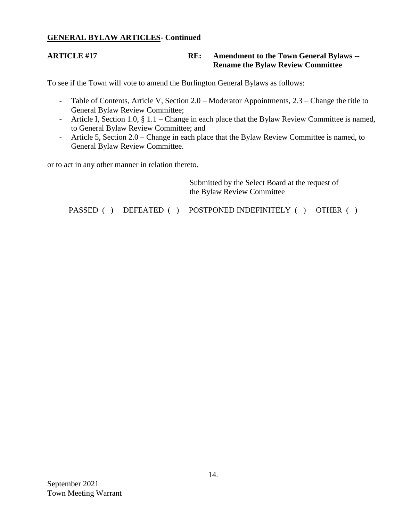### **GENERAL BYLAW ARTICLES- Continued**

#### **ARTICLE #17 RE: Amendment to the Town General Bylaws -- Rename the Bylaw Review Committee**

To see if the Town will vote to amend the Burlington General Bylaws as follows:

- Table of Contents, Article V, Section 2.0 Moderator Appointments, 2.3 Change the title to General Bylaw Review Committee;
- Article I, Section 1.0, § 1.1 Change in each place that the Bylaw Review Committee is named, to General Bylaw Review Committee; and
- Article 5, Section 2.0 Change in each place that the Bylaw Review Committee is named, to General Bylaw Review Committee.

or to act in any other manner in relation thereto.

|  | Submitted by the Select Board at the request of<br>the Bylaw Review Committee |  |
|--|-------------------------------------------------------------------------------|--|
|  | PASSED () DEFEATED () POSTPONED INDEFINITELY () OTHER ()                      |  |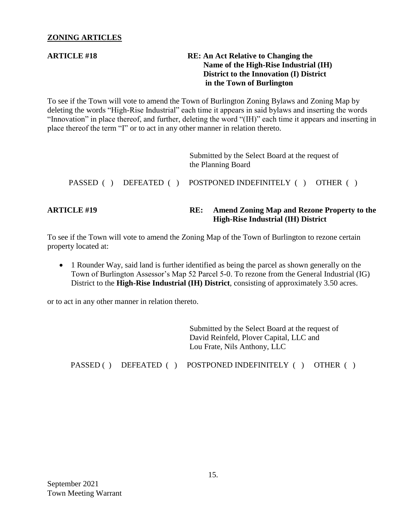#### **ZONING ARTICLES**

### **ARTICLE #18** RE: An Act Relative to Changing the  **Name of the High-Rise Industrial (IH) District to the Innovation (I) District in the Town of Burlington**

To see if the Town will vote to amend the Town of Burlington Zoning Bylaws and Zoning Map by deleting the words "High-Rise Industrial" each time it appears in said bylaws and inserting the words "Innovation" in place thereof, and further, deleting the word "(IH)" each time it appears and inserting in place thereof the term "I" or to act in any other manner in relation thereto.

| <b>ARTICLE #19</b> |             | RE:                                                                   | <b>Amend Zoning Map and Rezone Property to the</b><br><b>High-Rise Industrial (IH) District</b> |
|--------------------|-------------|-----------------------------------------------------------------------|-------------------------------------------------------------------------------------------------|
| PASSED ()          | DEFEATED () |                                                                       | POSTPONED INDEFINITELY () OTHER ()                                                              |
|                    |             | Submitted by the Select Board at the request of<br>the Planning Board |                                                                                                 |

To see if the Town will vote to amend the Zoning Map of the Town of Burlington to rezone certain property located at:

• 1 Rounder Way, said land is further identified as being the parcel as shown generally on the Town of Burlington Assessor's Map 52 Parcel 5-0. To rezone from the General Industrial (IG) District to the **High-Rise Industrial (IH) District**, consisting of approximately 3.50 acres.

or to act in any other manner in relation thereto.

Submitted by the Select Board at the request of David Reinfeld, Plover Capital, LLC and Lou Frate, Nils Anthony, LLC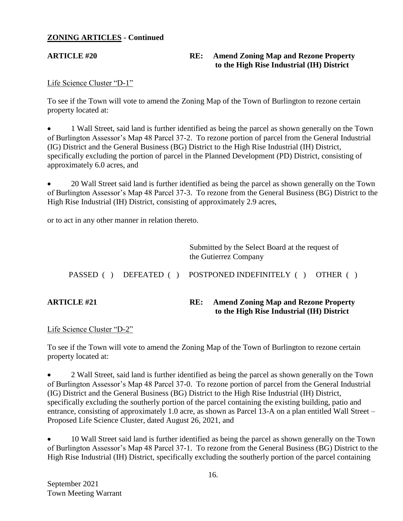### **ZONING ARTICLES - Continued**

### **ARTICLE #20 RE: Amend Zoning Map and Rezone Property to the High Rise Industrial (IH) District**

#### Life Science Cluster "D-1"

To see if the Town will vote to amend the Zoning Map of the Town of Burlington to rezone certain property located at:

 1 Wall Street, said land is further identified as being the parcel as shown generally on the Town of Burlington Assessor's Map 48 Parcel 37-2. To rezone portion of parcel from the General Industrial (IG) District and the General Business (BG) District to the High Rise Industrial (IH) District, specifically excluding the portion of parcel in the Planned Development (PD) District, consisting of approximately 6.0 acres, and

 20 Wall Street said land is further identified as being the parcel as shown generally on the Town of Burlington Assessor's Map 48 Parcel 37-3. To rezone from the General Business (BG) District to the High Rise Industrial (IH) District, consisting of approximately 2.9 acres,

or to act in any other manner in relation thereto.

| <b>ARTICLE #21</b> |  | RE: | <b>Amend Zoning Map and Rezone Property</b><br>to the High Rise Industrial (IH) District |                                                                          |
|--------------------|--|-----|------------------------------------------------------------------------------------------|--------------------------------------------------------------------------|
|                    |  |     |                                                                                          | PASSED () DEFEATED () POSTPONED INDEFINITELY () OTHER ()                 |
|                    |  |     |                                                                                          | Submitted by the Select Board at the request of<br>the Gutierrez Company |

### Life Science Cluster "D-2"

To see if the Town will vote to amend the Zoning Map of the Town of Burlington to rezone certain property located at:

 2 Wall Street, said land is further identified as being the parcel as shown generally on the Town of Burlington Assessor's Map 48 Parcel 37-0. To rezone portion of parcel from the General Industrial (IG) District and the General Business (BG) District to the High Rise Industrial (IH) District, specifically excluding the southerly portion of the parcel containing the existing building, patio and entrance, consisting of approximately 1.0 acre, as shown as Parcel 13-A on a plan entitled Wall Street – Proposed Life Science Cluster, dated August 26, 2021, and

 10 Wall Street said land is further identified as being the parcel as shown generally on the Town of Burlington Assessor's Map 48 Parcel 37-1. To rezone from the General Business (BG) District to the High Rise Industrial (IH) District, specifically excluding the southerly portion of the parcel containing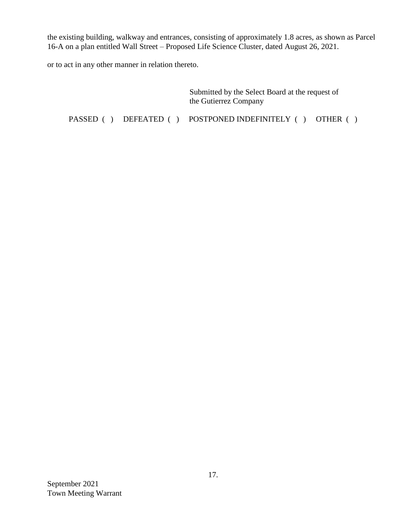the existing building, walkway and entrances, consisting of approximately 1.8 acres, as shown as Parcel 16-A on a plan entitled Wall Street – Proposed Life Science Cluster, dated August 26, 2021.

or to act in any other manner in relation thereto.

Submitted by the Select Board at the request of the Gutierrez Company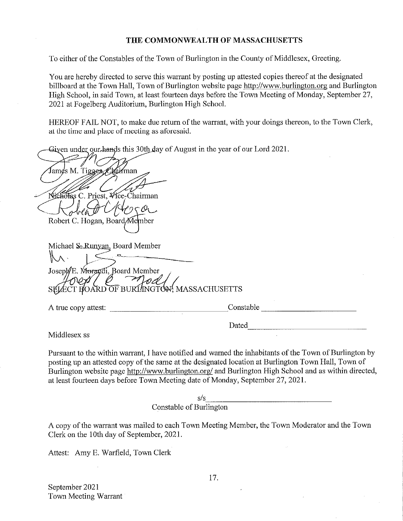#### THE COMMONWEALTH OF MASSACHUSETTS

To either of the Constables of the Town of Burlington in the County of Middlesex, Greeting.

You are hereby directed to serve this warrant by posting up attested copies thereof at the designated billboard at the Town Hall, Town of Burlington website page http://www.burlington.org and Burlington High School, in said Town, at least fourteen days before the Town Meeting of Monday, September 27, 2021 at Fogelberg Auditorium, Burlington High School.

HEREOF FAIL NOT, to make due return of the warrant, with your doings thereon, to the Town Clerk, at the time and place of meeting as aforesaid.

Given under our hands this 30th day of August in the year of our Lord 2021.

James M. Tigges, Chairman Nicholas C. Priest, Vice-Chairman Robert C. Hogan, Board Member Michael S-Runyan, Board Member Joseph E. Morandi, Board Member SELECT BOARD OF BURLINGTON, MASSACHUSETTS Constable the contract of the contract of the contract of the contract of the contract of the contract of the contract of the contract of the contract of the contract of the contract of the contract of the contract of the A true copy attest: Dated

Middlesex ss

Pursuant to the within warrant, I have notified and warned the inhabitants of the Town of Burlington by posting up an attested copy of the same at the designated location at Burlington Town Hall, Town of Burlington website page http://www.burlington.org/ and Burlington High School and as within directed, at least fourteen days before Town Meeting date of Monday, September 27, 2021.

> $S/S$ Constable of Burlington

A copy of the warrant was mailed to each Town Meeting Member, the Town Moderator and the Town Clerk on the 10th day of September, 2021.

Attest: Amy E. Warfield, Town Clerk